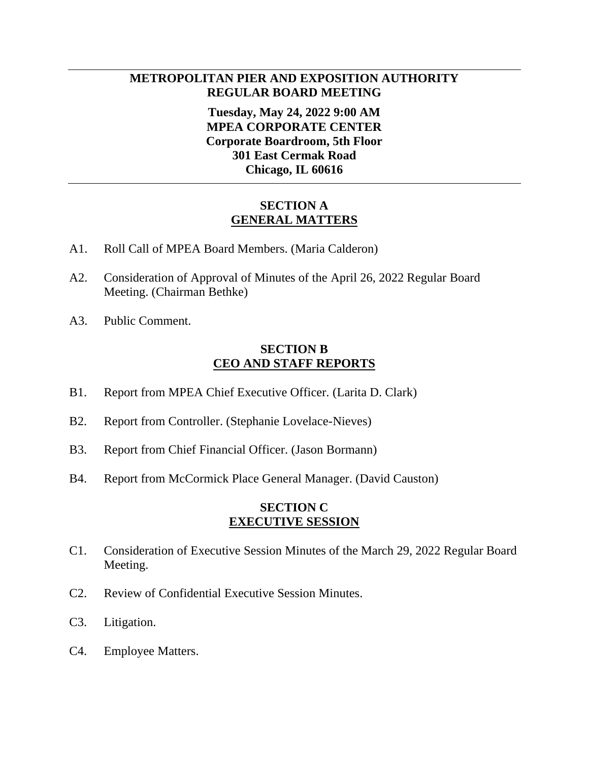## **METROPOLITAN PIER AND EXPOSITION AUTHORITY REGULAR BOARD MEETING**

**Tuesday, May 24, 2022 9:00 AM MPEA CORPORATE CENTER Corporate Boardroom, 5th Floor 301 East Cermak Road Chicago, IL 60616**

#### **SECTION A GENERAL MATTERS**

- A1. Roll Call of MPEA Board Members. (Maria Calderon)
- A2. Consideration of Approval of Minutes of the April 26, 2022 Regular Board Meeting. (Chairman Bethke)
- A3. Public Comment.

#### **SECTION B CEO AND STAFF REPORTS**

- B1. Report from MPEA Chief Executive Officer. (Larita D. Clark)
- B2. Report from Controller. (Stephanie Lovelace-Nieves)
- B3. Report from Chief Financial Officer. (Jason Bormann)
- B4. Report from McCormick Place General Manager. (David Causton)

### **SECTION C EXECUTIVE SESSION**

- C1. Consideration of Executive Session Minutes of the March 29, 2022 Regular Board Meeting.
- C2. Review of Confidential Executive Session Minutes.
- C3. Litigation.
- C4. Employee Matters.